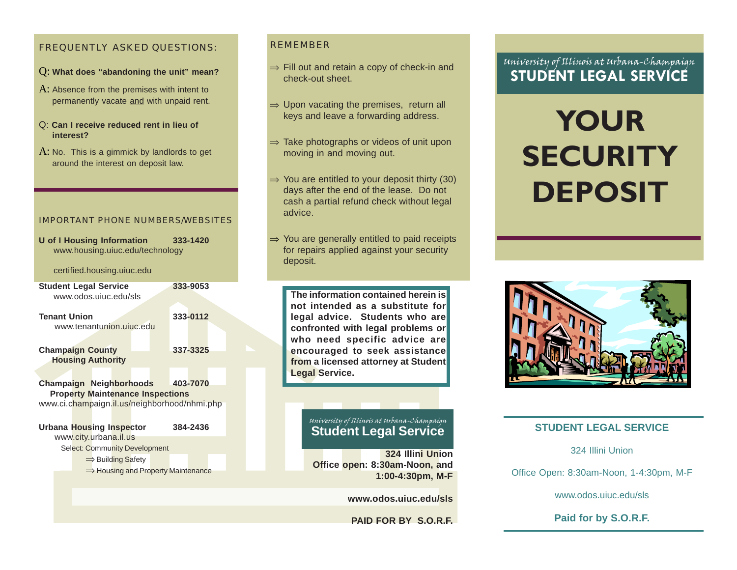#### FREQUENTLY ASKED QUESTIONS:

- Q: **What does "abandoning the unit" mean?**
- A: Absence from the premises with intent to permanently vacate and with unpaid rent.
- Q: **Can I receive reduced rent in lieu of interest?**
- $A$ : No. This is a gimmick by landlords to get around the interest on deposit law.

#### IMPORTANT PHONE NUMBERS/WEBSITES

**U of I Housing Information 333-1420** www.housing.uiuc.edu/technology

#### certified.housing.uiuc.edu

| <b>Student Legal Service</b><br>www.odos.ujuc.edu/sls                                                                     |  |  | 333-9053 |  |  |
|---------------------------------------------------------------------------------------------------------------------------|--|--|----------|--|--|
| <b>Tenant Union</b><br>www.tenantunion.ujuc.edu                                                                           |  |  | 333-0112 |  |  |
| <b>Champaign County</b><br><b>Housing Authority</b>                                                                       |  |  | 337-3325 |  |  |
| <b>Champaign Neighborhoods</b><br><b>Property Maintenance Inspections</b><br>www.ci.champaign.il.us/neighborhood/nhmi.php |  |  | 403-7070 |  |  |

**Urbana Housing Inspector 384-2436** www.city.urbana.il.us Select: Community Development <sup>⇒</sup> Building Safety

⇒ Housing and Property Maintenance

#### REMEMBER

- <sup>⇒</sup> Fill out and retain a copy of check-in and check-out sheet.
- $\Rightarrow$  Upon vacating the premises, return all keys and leave a forwarding address.
- <sup>⇒</sup> Take photographs or videos of unit upon moving in and moving out.
- $\Rightarrow$  You are entitled to your deposit thirty (30) days after the end of the lease. Do not cash a partial refund check without legal advice.
- <sup>⇒</sup> You are generally entitled to paid receipts for repairs applied against your security deposit.

**The information contained herein is not intended as a substitute for legal advice. Students who are confronted with legal problems or who need specific advice are encouraged to seek assistance from a licensed attorney at Student Legal Service.**

## University of Illinois at Urbana-Champaign **Student Legal Service**

**324 Illini Union Office open: 8:30am-Noon, and 1:00-4:30pm, M-F**

#### **www.odos.uiuc.edu/sls**

**PAID FOR BY S.O.R.F.**

## University of Illinois at Urbana-Champaign **STUDENT LEGAL SERVICE**

# **YOUR SECURITY DEPOSIT**



#### **STUDENT LEGAL SERVICE**

324 Illini Union

Office Open: 8:30am-Noon, 1-4:30pm, M-F

www.odos.uiuc.edu/sls

**Paid for by S.O.R.F.**